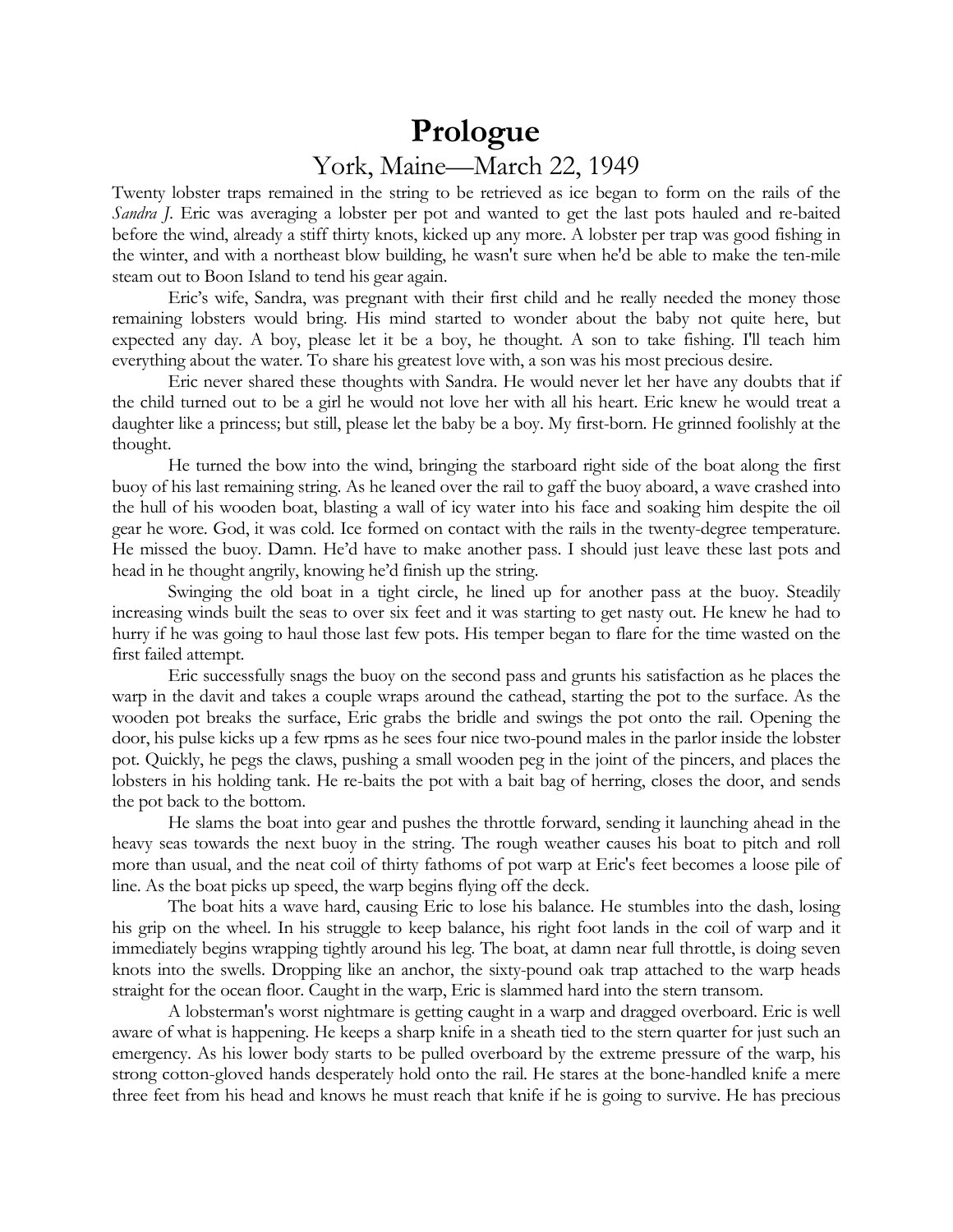## **Prologue** York, Maine—March 22, 1949

Twenty lobster traps remained in the string to be retrieved as ice began to form on the rails of the *Sandra J*. Eric was averaging a lobster per pot and wanted to get the last pots hauled and re-baited before the wind, already a stiff thirty knots, kicked up any more. A lobster per trap was good fishing in the winter, and with a northeast blow building, he wasn't sure when he'd be able to make the ten-mile steam out to Boon Island to tend his gear again.

Eric's wife, Sandra, was pregnant with their first child and he really needed the money those remaining lobsters would bring. His mind started to wonder about the baby not quite here, but expected any day. A boy, please let it be a boy, he thought. A son to take fishing. I'll teach him everything about the water. To share his greatest love with, a son was his most precious desire.

Eric never shared these thoughts with Sandra. He would never let her have any doubts that if the child turned out to be a girl he would not love her with all his heart. Eric knew he would treat a daughter like a princess; but still, please let the baby be a boy. My first-born. He grinned foolishly at the thought.

He turned the bow into the wind, bringing the starboard right side of the boat along the first buoy of his last remaining string. As he leaned over the rail to gaff the buoy aboard, a wave crashed into the hull of his wooden boat, blasting a wall of icy water into his face and soaking him despite the oil gear he wore. God, it was cold. Ice formed on contact with the rails in the twenty-degree temperature. He missed the buoy. Damn. He'd have to make another pass. I should just leave these last pots and head in he thought angrily, knowing he'd finish up the string.

Swinging the old boat in a tight circle, he lined up for another pass at the buoy. Steadily increasing winds built the seas to over six feet and it was starting to get nasty out. He knew he had to hurry if he was going to haul those last few pots. His temper began to flare for the time wasted on the first failed attempt.

Eric successfully snags the buoy on the second pass and grunts his satisfaction as he places the warp in the davit and takes a couple wraps around the cathead, starting the pot to the surface. As the wooden pot breaks the surface, Eric grabs the bridle and swings the pot onto the rail. Opening the door, his pulse kicks up a few rpms as he sees four nice two-pound males in the parlor inside the lobster pot. Quickly, he pegs the claws, pushing a small wooden peg in the joint of the pincers, and places the lobsters in his holding tank. He re-baits the pot with a bait bag of herring, closes the door, and sends the pot back to the bottom.

He slams the boat into gear and pushes the throttle forward, sending it launching ahead in the heavy seas towards the next buoy in the string. The rough weather causes his boat to pitch and roll more than usual, and the neat coil of thirty fathoms of pot warp at Eric's feet becomes a loose pile of line. As the boat picks up speed, the warp begins flying off the deck.

The boat hits a wave hard, causing Eric to lose his balance. He stumbles into the dash, losing his grip on the wheel. In his struggle to keep balance, his right foot lands in the coil of warp and it immediately begins wrapping tightly around his leg. The boat, at damn near full throttle, is doing seven knots into the swells. Dropping like an anchor, the sixty-pound oak trap attached to the warp heads straight for the ocean floor. Caught in the warp, Eric is slammed hard into the stern transom.

A lobsterman's worst nightmare is getting caught in a warp and dragged overboard. Eric is well aware of what is happening. He keeps a sharp knife in a sheath tied to the stern quarter for just such an emergency. As his lower body starts to be pulled overboard by the extreme pressure of the warp, his strong cotton-gloved hands desperately hold onto the rail. He stares at the bone-handled knife a mere three feet from his head and knows he must reach that knife if he is going to survive. He has precious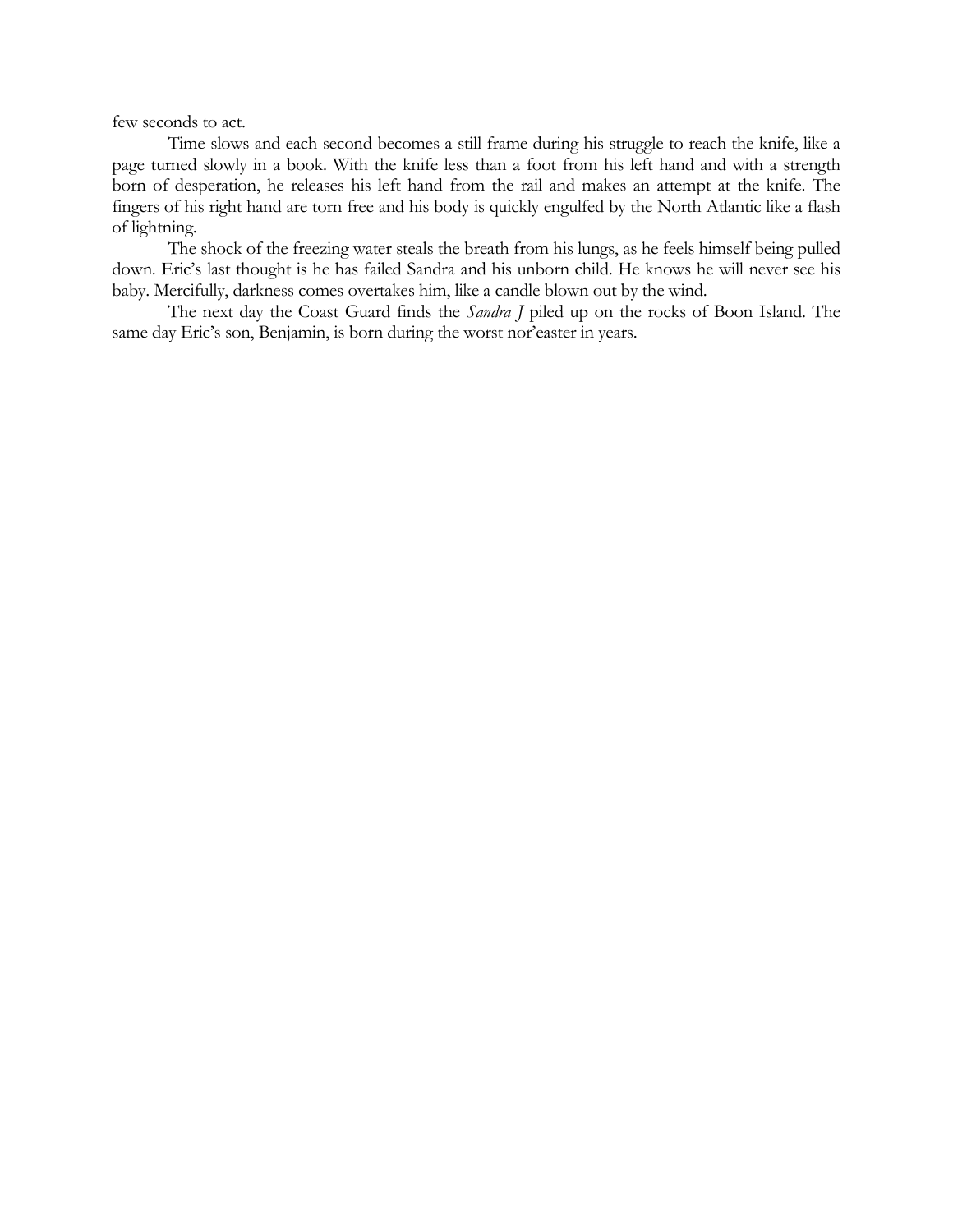few seconds to act.

Time slows and each second becomes a still frame during his struggle to reach the knife, like a page turned slowly in a book. With the knife less than a foot from his left hand and with a strength born of desperation, he releases his left hand from the rail and makes an attempt at the knife. The fingers of his right hand are torn free and his body is quickly engulfed by the North Atlantic like a flash of lightning.

The shock of the freezing water steals the breath from his lungs, as he feels himself being pulled down. Eric's last thought is he has failed Sandra and his unborn child. He knows he will never see his baby. Mercifully, darkness comes overtakes him, like a candle blown out by the wind.

The next day the Coast Guard finds the *Sandra J* piled up on the rocks of Boon Island. The same day Eric's son, Benjamin, is born during the worst nor'easter in years.